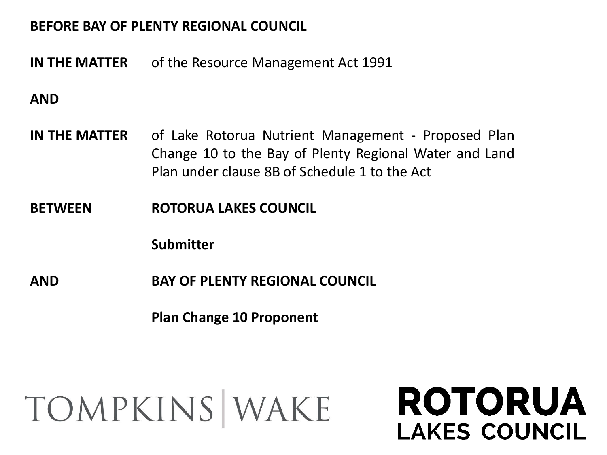### **BEFORE BAY OF PLENTY REGIONAL COUNCIL**

**IN THE MATTER** of the Resource Management Act 1991

### **AND**

- **IN THE MATTER** of Lake Rotorua Nutrient Management Proposed Plan Change 10 to the Bay of Plenty Regional Water and Land Plan under clause 8B of Schedule 1 to the Act
- **BETWEEN ROTORUA LAKES COUNCIL**

### **Submitter**

**AND BAY OF PLENTY REGIONAL COUNCIL**

**Plan Change 10 Proponent**

# TOMPKINS WAKE

### **ROTORUA LAKES COUNCIL**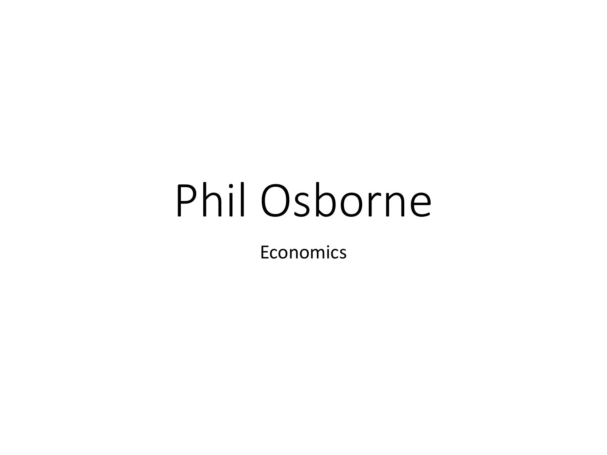# Phil Osborne

Economics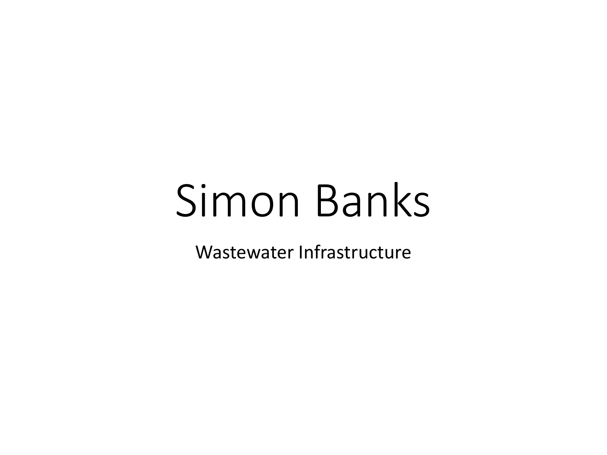# Simon Banks

Wastewater Infrastructure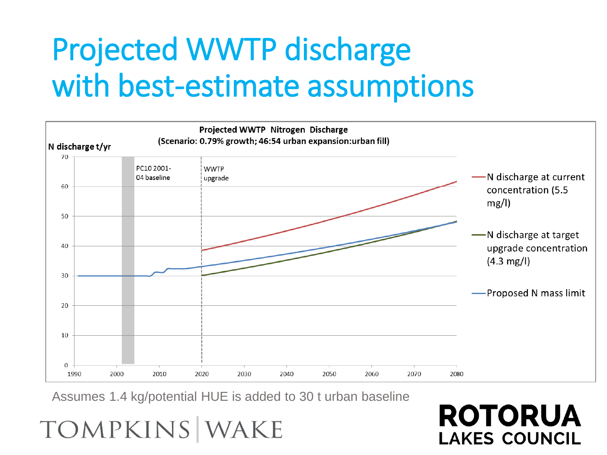## Projected WWTP discharge with best-estimate assumptions



Assumes 1.4 kg/potential HUE is added to 30 t urban baseline

**TOMPKINS WAKE** 

### **ROTORUA LAKES COUNCIL**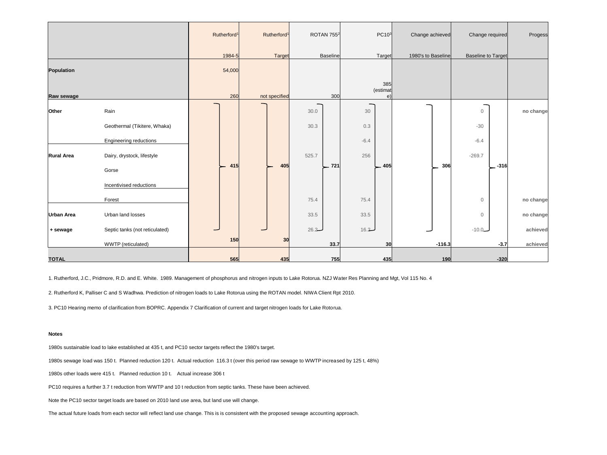|                   |                                | Rutherford <sup>1</sup> | Rutherford <sup>1</sup> | <b>ROTAN 7552</b> |          | PC103                 | Change achieved    | Change required           | Progess            |
|-------------------|--------------------------------|-------------------------|-------------------------|-------------------|----------|-----------------------|--------------------|---------------------------|--------------------|
|                   |                                | 1984-5                  | Target                  | <b>Baseline</b>   |          | Target                | 1980's to Baseline | <b>Baseline to Target</b> |                    |
| Population        |                                | 54,000                  |                         |                   |          |                       |                    |                           |                    |
| Raw sewage        |                                | 260                     | not specified           |                   | 300      | 385<br>(estimat<br>e) |                    |                           |                    |
| Other             | Rain                           |                         |                         | 30.0              | 30       |                       |                    | $\circ$                   | no change          |
|                   | Geothermal (Tikitere, Whaka)   |                         |                         | 30.3              | 0.3      |                       |                    | $-30$                     |                    |
|                   | Engineering reductions         |                         |                         |                   | $-6.4$   |                       |                    | $-6.4$                    |                    |
| Rural Area        | Dairy, drystock, lifestyle     |                         |                         | 525.7             | 256      |                       |                    | $-269.7$                  |                    |
|                   | Gorse                          | 415                     | 405                     |                   | 721      | 405                   |                    | 306                       | $-316$             |
|                   | Incentivised reductions        |                         |                         |                   |          |                       |                    |                           |                    |
|                   | Forest                         |                         |                         | 75.4              | 75.4     |                       |                    | $\mathbf{0}$              | no change          |
| <b>Urban Area</b> | Urban land losses              |                         |                         | 33.5              | 33.5     |                       |                    | $\mathbf{0}$              | no change          |
| $+$ sewage        | Septic tanks (not reticulated) |                         |                         | $26.2 -$          | $16.2 -$ |                       |                    | $-10.0$                   | achieved           |
|                   | WWTP (reticulated)             | 150                     | 30                      |                   | 33.7     | 30                    | $-116.3$           |                           | $-3.7$<br>achieved |
| <b>TOTAL</b>      |                                | 565                     | 435                     |                   | 755      | 435                   |                    | 190                       | $-320$             |

1. Rutherford, J.C., Pridmore, R.D. and E. White. 1989. Management of phosphorus and nitrogen inputs to Lake Rotorua. NZJ Water Res Planning and Mgt, Vol 115 No. 4

2. Rutherford K, Palliser C and S Wadhwa. Prediction of nitrogen loads to Lake Rotorua using the ROTAN model. NIWA Client Rpt 2010.

3. PC10 Hearing memo of clarification from BOPRC. Appendix 7 Clarification of current and target nitrogen loads for Lake Rotorua.

#### **Notes**

1980s sustainable load to lake established at 435 t, and PC10 sector targets reflect the 1980's target.

1980s sewage load was 150 t. Planned reduction 120 t. Actual reduction 116.3 t (over this period raw sewage to WWTP increased by 125 t, 48%)

1980s other loads were 415 t. Planned reduction 10 t. Actual increase 306 t

PC10 requires a further 3.7 t reduction from WWTP and 10 t reduction from septic tanks. These have been achieved.

Note the PC10 sector target loads are based on 2010 land use area, but land use will change.

The actual future loads from each sector will reflect land use change. This is is consistent with the proposed sewage accounting approach.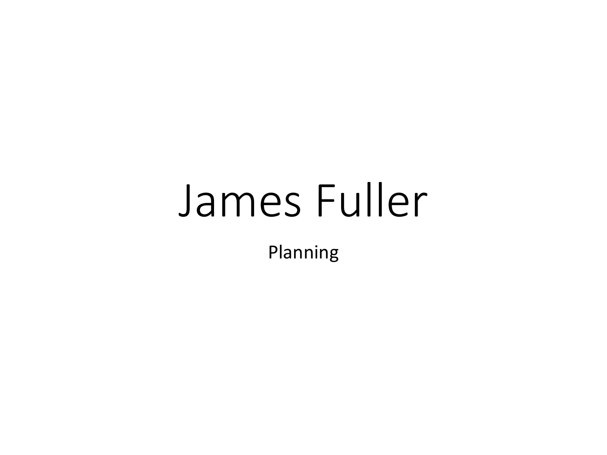# James Fuller

Planning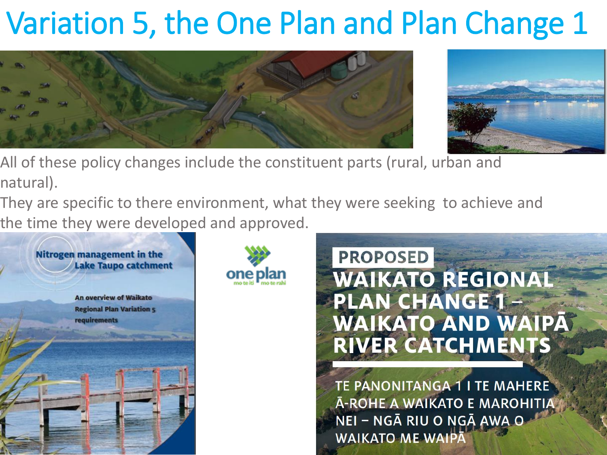## Variation 5, the One Plan and Plan Change 1





- All of these policy changes include the constituent parts (rural, urban and natural).
- They are specific to there environment, what they were seeking to achieve and the time they were developed and approved.





**PROPOSED WAIKATO REGIONAL** PLAN CHANGE 1-**WAIKATO AND WAIPA RIVER CATCHMENTS** 

TE PANONITANGA 1 I TE MAHERE Ā-ROHE A WAIKATO E MAROHITIA NEI - NGÃ RIU O NGÃ AWA O WAIKATO ME WAIPA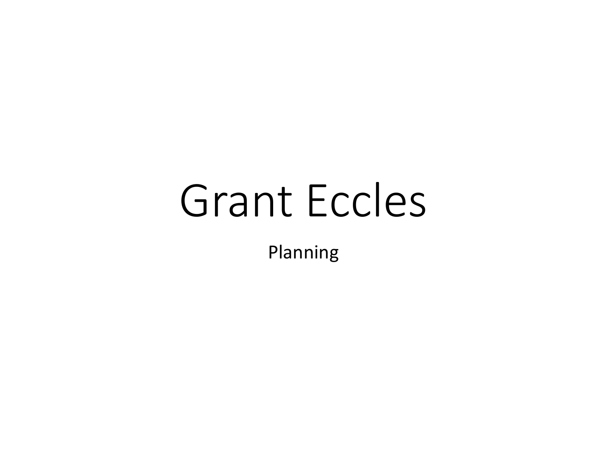# Grant Eccles

Planning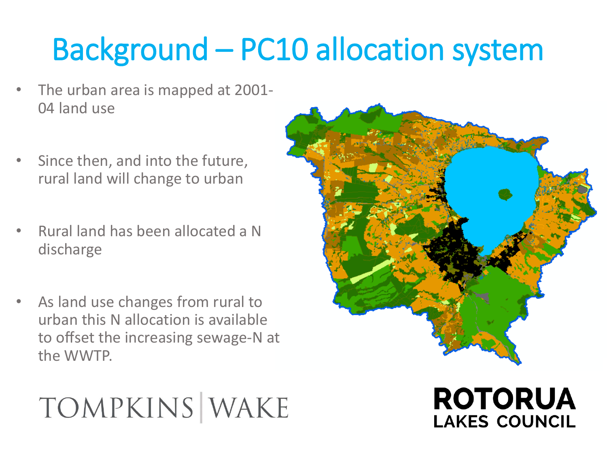# Background – PC10 allocation system

- The urban area is mapped at 2001- 04 land use
- Since then, and into the future, rural land will change to urban
- Rural land has been allocated a N discharge
- As land use changes from rural to urban this N allocation is available to offset the increasing sewage-N at the WWTP.

## TOMPKINS WAKE



**ROTORUA** 

**LAKES COUNCIL**